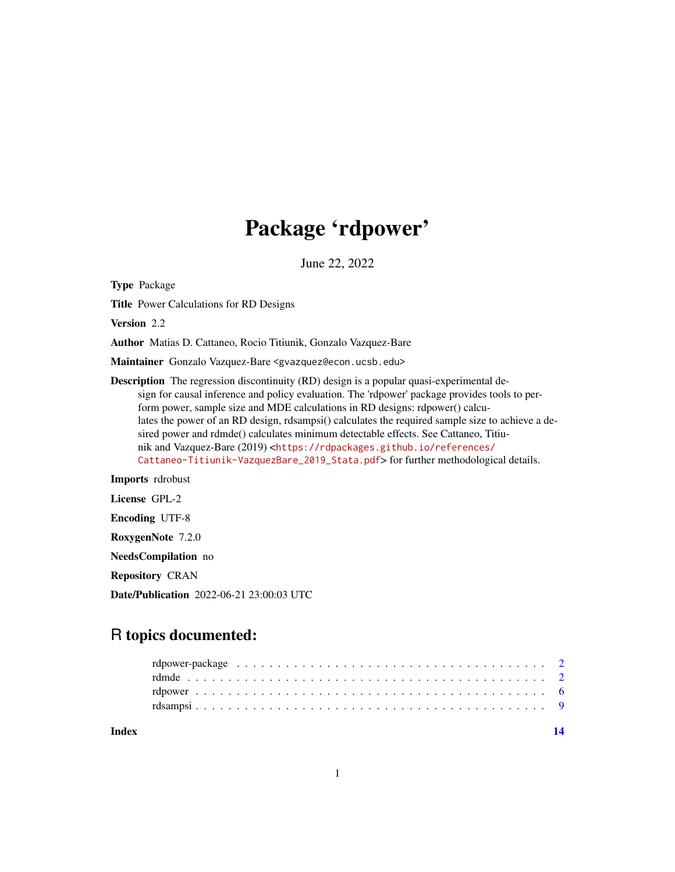## Package 'rdpower'

June 22, 2022

Type Package

Title Power Calculations for RD Designs

Version 2.2

Author Matias D. Cattaneo, Rocio Titiunik, Gonzalo Vazquez-Bare

Maintainer Gonzalo Vazquez-Bare <gvazquez@econ.ucsb.edu>

Description The regression discontinuity (RD) design is a popular quasi-experimental design for causal inference and policy evaluation. The 'rdpower' package provides tools to perform power, sample size and MDE calculations in RD designs: rdpower() calculates the power of an RD design, rdsampsi() calculates the required sample size to achieve a desired power and rdmde() calculates minimum detectable effects. See Cattaneo, Titiunik and Vazquez-Bare (2019) <[https://rdpackages.github.io/references/](https://rdpackages.github.io/references/Cattaneo-Titiunik-VazquezBare_2019_Stata.pdf) [Cattaneo-Titiunik-VazquezBare\\_2019\\_Stata.pdf](https://rdpackages.github.io/references/Cattaneo-Titiunik-VazquezBare_2019_Stata.pdf)> for further methodological details.

Imports rdrobust

License GPL-2

Encoding UTF-8

RoxygenNote 7.2.0

NeedsCompilation no

Repository CRAN

Date/Publication 2022-06-21 23:00:03 UTC

## R topics documented:

| Index |  |
|-------|--|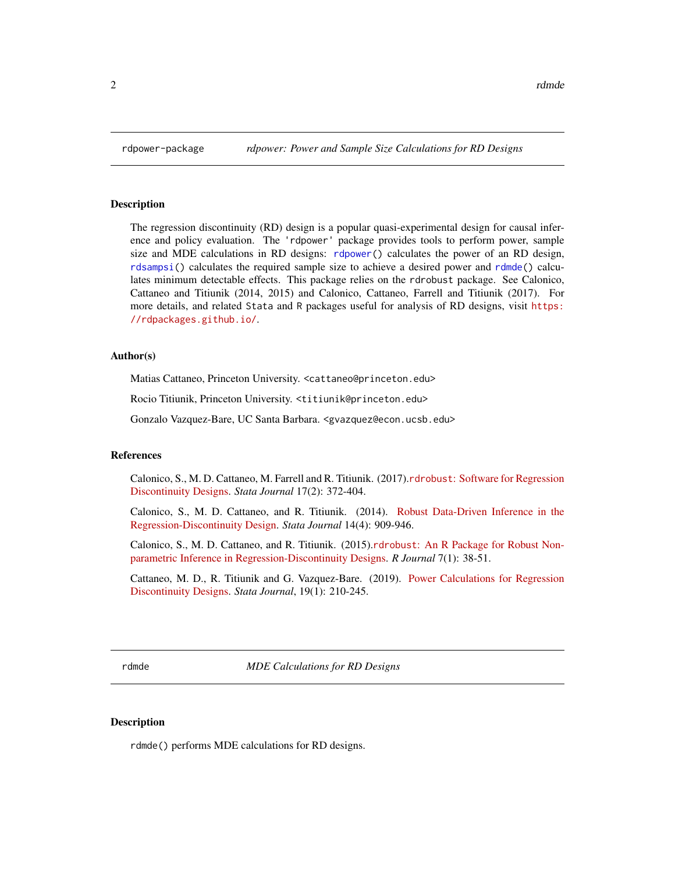<span id="page-1-0"></span>

### Description

The regression discontinuity (RD) design is a popular quasi-experimental design for causal inference and policy evaluation. The 'rdpower' package provides tools to perform power, sample size and MDE calculations in RD designs: [rdpower\(](#page-5-1)) calculates the power of an RD design, [rdsampsi\(](#page-8-1)) calculates the required sample size to achieve a desired power and [rdmde\(](#page-1-1)) calculates minimum detectable effects. This package relies on the rdrobust package. See Calonico, Cattaneo and Titiunik (2014, 2015) and Calonico, Cattaneo, Farrell and Titiunik (2017). For more details, and related Stata and R packages useful for analysis of RD designs, visit [https:](https://rdpackages.github.io/) [//rdpackages.github.io/](https://rdpackages.github.io/).

## Author(s)

Matias Cattaneo, Princeton University. <cattaneo@princeton.edu>

Rocio Titiunik, Princeton University. <titiunik@princeton.edu>

Gonzalo Vazquez-Bare, UC Santa Barbara. <gvazquez@econ.ucsb.edu>

#### References

Calonico, S., M. D. Cattaneo, M. Farrell and R. Titiunik. (2017).rdrobust[: Software for Regression](https://rdpackages.github.io/references/Calonico-Cattaneo-Farrell-Titiunik_2017_Stata.pdf) [Discontinuity Designs.](https://rdpackages.github.io/references/Calonico-Cattaneo-Farrell-Titiunik_2017_Stata.pdf) *Stata Journal* 17(2): 372-404.

Calonico, S., M. D. Cattaneo, and R. Titiunik. (2014). [Robust Data-Driven Inference in the](https://rdpackages.github.io/references/Calonico-Cattaneo-Titiunik_2014_Stata.pdf) [Regression-Discontinuity Design.](https://rdpackages.github.io/references/Calonico-Cattaneo-Titiunik_2014_Stata.pdf) *Stata Journal* 14(4): 909-946.

Calonico, S., M. D. Cattaneo, and R. Titiunik. (2015).rdrobust[: An R Package for Robust Non](https://rdpackages.github.io/references/Calonico-Cattaneo-Titiunik_2015_R.pdf)[parametric Inference in Regression-Discontinuity Designs.](https://rdpackages.github.io/references/Calonico-Cattaneo-Titiunik_2015_R.pdf) *R Journal* 7(1): 38-51.

Cattaneo, M. D., R. Titiunik and G. Vazquez-Bare. (2019). [Power Calculations for Regression](https://rdpackages.github.io/references/Cattaneo-Titiunik-VazquezBare_2019_Stata.pdf) [Discontinuity Designs.](https://rdpackages.github.io/references/Cattaneo-Titiunik-VazquezBare_2019_Stata.pdf) *Stata Journal*, 19(1): 210-245.

<span id="page-1-1"></span>rdmde *MDE Calculations for RD Designs*

## Description

rdmde() performs MDE calculations for RD designs.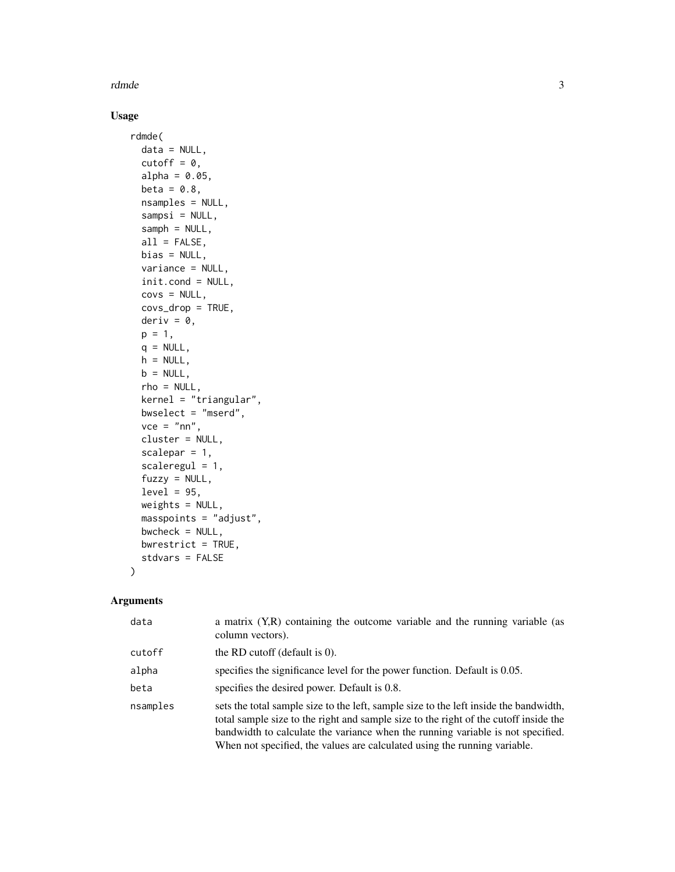rdmde 3

## Usage

```
rdmde(
 data = NULL,cutoff = 0,
 alpha = 0.05,
 beta = 0.8,
 nsamples = NULL,
  sampsi = NULL,
  samph = NULL,all = FALSE,bias = NULL,variance = NULL,
  init.cond = NULL,
 covs = NULL,covs_drop = TRUE,
 deriv = 0,
 p = 1,
 q = NULL,h = NULL,b = NULL,rho = NULL,
 kernel = "triangular",
 bwselect = "mserd",
 vec = "nn",cluster = NULL,
  scalepar = 1,
  scaleregul = 1,
  fuzzy = NULL,
 level = 95,weights = NULL,masspoints = "adjust",
 bwcheck = NULL,
 bwrestrict = TRUE,
  stdvars = FALSE
```
## Arguments

 $\mathcal{L}$ 

| data     | a matrix $(Y,R)$ containing the outcome variable and the running variable (as<br>column vectors).                                                                                                                                                                                                                                             |
|----------|-----------------------------------------------------------------------------------------------------------------------------------------------------------------------------------------------------------------------------------------------------------------------------------------------------------------------------------------------|
| cutoff   | the RD cutoff (default is $0$ ).                                                                                                                                                                                                                                                                                                              |
| alpha    | specifies the significance level for the power function. Default is 0.05.                                                                                                                                                                                                                                                                     |
| beta     | specifies the desired power. Default is 0.8.                                                                                                                                                                                                                                                                                                  |
| nsamples | sets the total sample size to the left, sample size to the left inside the bandwidth,<br>total sample size to the right and sample size to the right of the cutoff inside the<br>bandwidth to calculate the variance when the running variable is not specified.<br>When not specified, the values are calculated using the running variable. |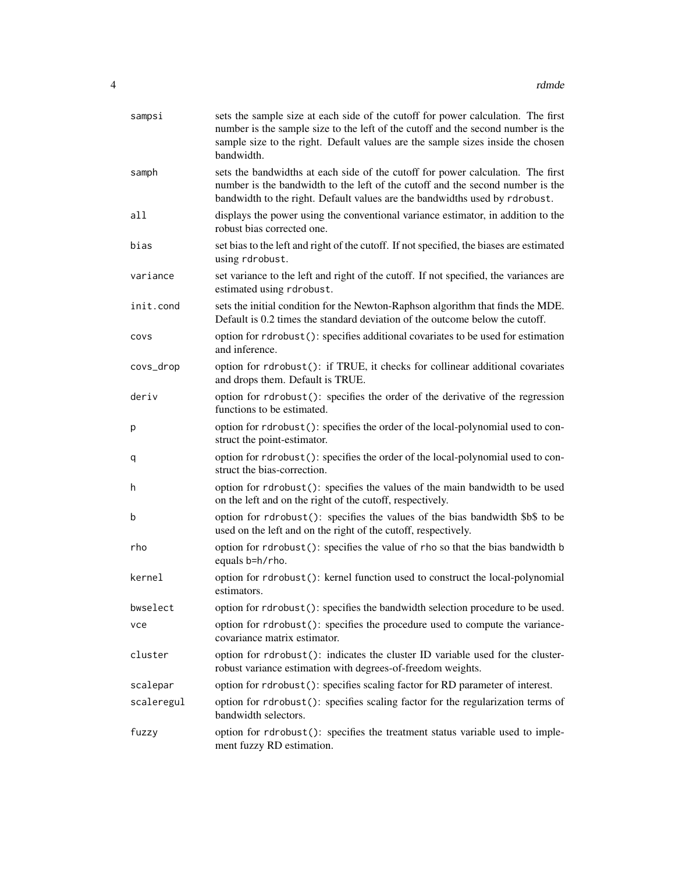| sampsi     | sets the sample size at each side of the cutoff for power calculation. The first<br>number is the sample size to the left of the cutoff and the second number is the<br>sample size to the right. Default values are the sample sizes inside the chosen<br>bandwidth. |
|------------|-----------------------------------------------------------------------------------------------------------------------------------------------------------------------------------------------------------------------------------------------------------------------|
| samph      | sets the bandwidths at each side of the cutoff for power calculation. The first<br>number is the bandwidth to the left of the cutoff and the second number is the<br>bandwidth to the right. Default values are the bandwidths used by rdrobust.                      |
| all        | displays the power using the conventional variance estimator, in addition to the<br>robust bias corrected one.                                                                                                                                                        |
| bias       | set bias to the left and right of the cutoff. If not specified, the biases are estimated<br>using rdrobust.                                                                                                                                                           |
| variance   | set variance to the left and right of the cutoff. If not specified, the variances are<br>estimated using rdrobust.                                                                                                                                                    |
| init.cond  | sets the initial condition for the Newton-Raphson algorithm that finds the MDE.<br>Default is 0.2 times the standard deviation of the outcome below the cutoff.                                                                                                       |
| covs       | option for rdrobust(): specifies additional covariates to be used for estimation<br>and inference.                                                                                                                                                                    |
| covs_drop  | option for rdrobust(): if TRUE, it checks for collinear additional covariates<br>and drops them. Default is TRUE.                                                                                                                                                     |
| deriv      | option for rdrobust(): specifies the order of the derivative of the regression<br>functions to be estimated.                                                                                                                                                          |
| р          | option for rdrobust(): specifies the order of the local-polynomial used to con-<br>struct the point-estimator.                                                                                                                                                        |
| q          | option for rdrobust(): specifies the order of the local-polynomial used to con-<br>struct the bias-correction.                                                                                                                                                        |
| h          | option for rdrobust(): specifies the values of the main bandwidth to be used<br>on the left and on the right of the cutoff, respectively.                                                                                                                             |
| b          | option for rdrobust(): specifies the values of the bias bandwidth \$b\$ to be<br>used on the left and on the right of the cutoff, respectively.                                                                                                                       |
| rho        | option for rdrobust(): specifies the value of rho so that the bias bandwidth b<br>equals b=h/rho.                                                                                                                                                                     |
| kernel     | option for rdrobust(): kernel function used to construct the local-polynomial<br>estimators.                                                                                                                                                                          |
| bwselect   | option for rdrobust(): specifies the bandwidth selection procedure to be used.                                                                                                                                                                                        |
| vce        | option for rdrobust(): specifies the procedure used to compute the variance-<br>covariance matrix estimator.                                                                                                                                                          |
| cluster    | option for rdrobust(): indicates the cluster ID variable used for the cluster-<br>robust variance estimation with degrees-of-freedom weights.                                                                                                                         |
| scalepar   | option for rdrobust(): specifies scaling factor for RD parameter of interest.                                                                                                                                                                                         |
| scaleregul | option for rdrobust(): specifies scaling factor for the regularization terms of<br>bandwidth selectors.                                                                                                                                                               |
| fuzzy      | option for rdrobust(): specifies the treatment status variable used to imple-<br>ment fuzzy RD estimation.                                                                                                                                                            |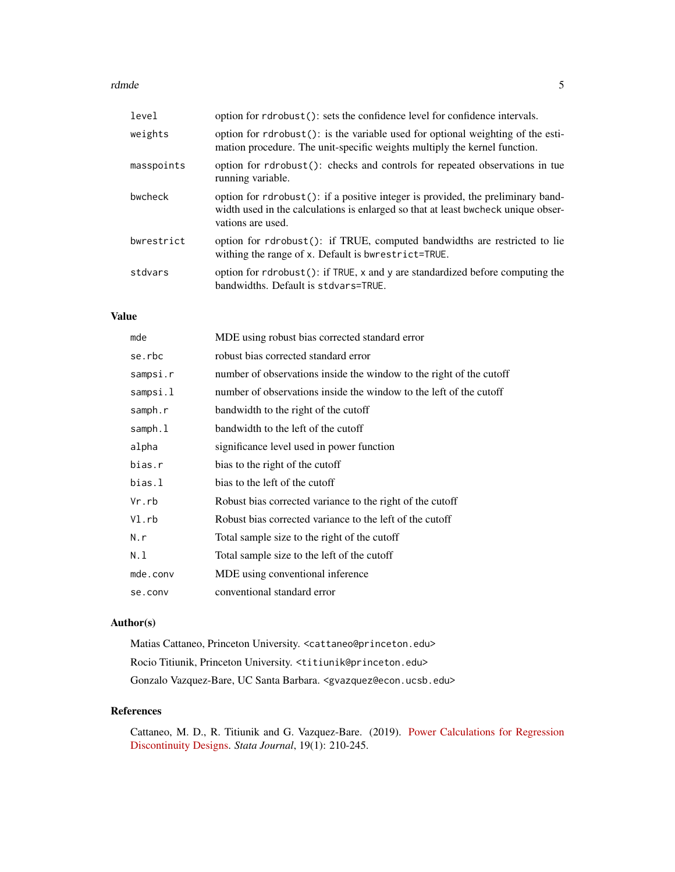#### rdmde 500 meters om de staat 1990 meters om de staat 1990 meters om de staat 1990 meters om de staat 1990 meters om de staat 1990 meters om de staat 1990 meters om de staat 1990 meters om de staat 1990 meters om de staat 1

| level      | option for rdrobust(): sets the confidence level for confidence intervals.                                                                                                                |
|------------|-------------------------------------------------------------------------------------------------------------------------------------------------------------------------------------------|
| weights    | option for rdrobust(): is the variable used for optional weighting of the esti-<br>mation procedure. The unit-specific weights multiply the kernel function.                              |
| masspoints | option for rdrobust(): checks and controls for repeated observations in tue<br>running variable.                                                                                          |
| bwcheck    | option for rdrobust(): if a positive integer is provided, the preliminary band-<br>width used in the calculations is enlarged so that at least bwcheck unique obser-<br>vations are used. |
| bwrestrict | option for rdrobust(): if TRUE, computed bandwidths are restricted to lie<br>withing the range of x. Default is bwrestrict=TRUE.                                                          |
| stdvars    | option for rdrobust(): if TRUE, x and y are standardized before computing the<br>bandwidths. Default is stdvars=TRUE.                                                                     |

## Value

| mde      | MDE using robust bias corrected standard error                      |
|----------|---------------------------------------------------------------------|
| se.rbc   | robust bias corrected standard error                                |
| sampsi.r | number of observations inside the window to the right of the cutoff |
| sampsi.l | number of observations inside the window to the left of the cutoff  |
| samph.r  | bandwidth to the right of the cutoff                                |
| samph.l  | bandwidth to the left of the cutoff                                 |
| alpha    | significance level used in power function                           |
| bias.r   | bias to the right of the cutoff                                     |
| bias.l   | bias to the left of the cutoff                                      |
| Vr.rb    | Robust bias corrected variance to the right of the cutoff           |
| VI.rb    | Robust bias corrected variance to the left of the cutoff            |
| N.r      | Total sample size to the right of the cutoff                        |
| N.l      | Total sample size to the left of the cutoff                         |
| mde.conv | MDE using conventional inference                                    |
| se.conv  | conventional standard error                                         |

## Author(s)

Matias Cattaneo, Princeton University. <cattaneo@princeton.edu> Rocio Titiunik, Princeton University. <titiunik@princeton.edu> Gonzalo Vazquez-Bare, UC Santa Barbara. <gvazquez@econ.ucsb.edu>

## References

Cattaneo, M. D., R. Titiunik and G. Vazquez-Bare. (2019). [Power Calculations for Regression](https://rdpackages.github.io/references/Cattaneo-Titiunik-VazquezBare_2019_Stata.pdf) [Discontinuity Designs.](https://rdpackages.github.io/references/Cattaneo-Titiunik-VazquezBare_2019_Stata.pdf) *Stata Journal*, 19(1): 210-245.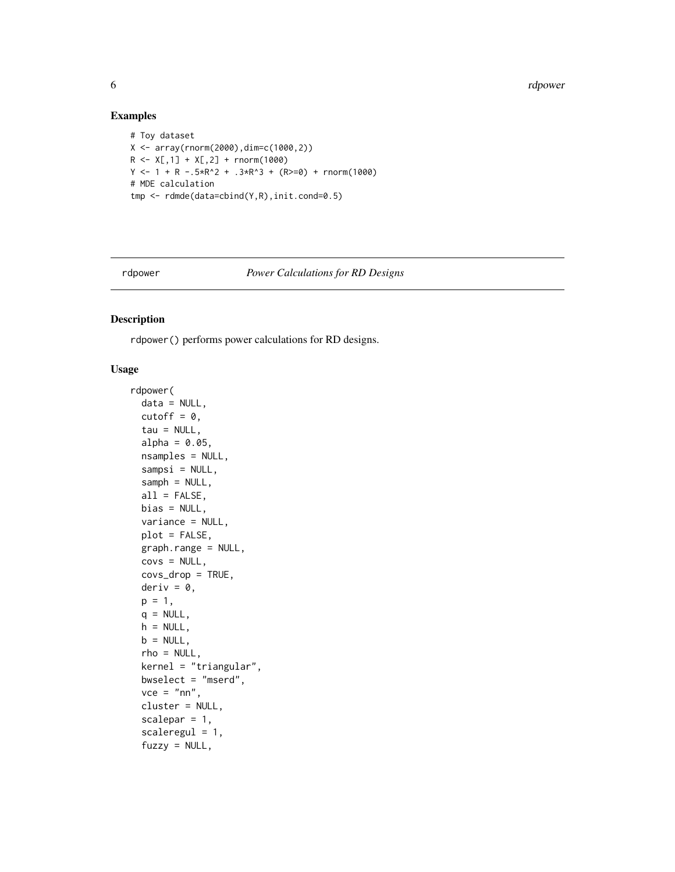6 rdpower and the contract of the contract of the contract of the contract of the contract of the contract of the contract of the contract of the contract of the contract of the contract of the contract of the contract of

## Examples

```
# Toy dataset
X \leftarrow \text{array}(rnorm(2000), \text{dim} = c(1000, 2))R \leq X[, 1] + X[, 2] + \text{rnorm}(1000)Y \le -1 + R - .5 \times R^2 + .3 \times R^3 + (R \ge 0) + \text{norm}(1000)# MDE calculation
tmp <- rdmde(data=cbind(Y,R),init.cond=0.5)
```
<span id="page-5-1"></span>

rdpower *Power Calculations for RD Designs*

## Description

rdpower() performs power calculations for RD designs.

## Usage

```
rdpower(
  data = NULL,cutoff = 0,
  tau = NULL,alpha = 0.05,
  nsamples = NULL,
  sampsi = NULL,
  samph = NULL,all = FALSE,bias = NULL,
  variance = NULL,
  plot = FALSE,
  graph.range = NULL,
  covs = NULL,covs_drop = TRUE,
  deriv = \theta,
 p = 1,
  q = NULL,h = NULL,b = NULL,rho = NULL,kernel = "triangular",
  bwselect = "mserd",
  vec = "nn",cluster = NULL,
  scalepar = 1,
  scaleregul = 1,fuzzy = NULL,
```
<span id="page-5-0"></span>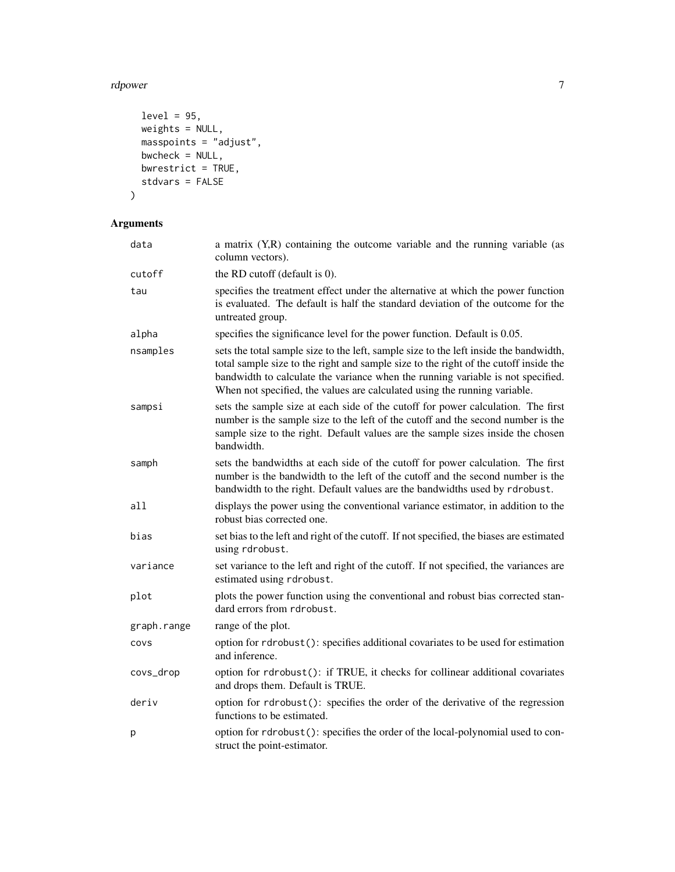#### rdpower 7 and 2008 and 2008 and 2008 and 2008 and 2008 and 2008 and 2008 and 2008 and 2008 and 2008 and 2008 a

```
level = 95,weights = NULL,
 masspoints = "adjust",
 bwcheck = NULL,
 bwrestrict = TRUE,
 stdvars = FALSE
\mathcal{L}
```
## Arguments

| data        | a matrix (Y,R) containing the outcome variable and the running variable (as<br>column vectors).                                                                                                                                                                                                                                               |
|-------------|-----------------------------------------------------------------------------------------------------------------------------------------------------------------------------------------------------------------------------------------------------------------------------------------------------------------------------------------------|
| cutoff      | the RD cutoff (default is 0).                                                                                                                                                                                                                                                                                                                 |
| tau         | specifies the treatment effect under the alternative at which the power function<br>is evaluated. The default is half the standard deviation of the outcome for the<br>untreated group.                                                                                                                                                       |
| alpha       | specifies the significance level for the power function. Default is 0.05.                                                                                                                                                                                                                                                                     |
| nsamples    | sets the total sample size to the left, sample size to the left inside the bandwidth,<br>total sample size to the right and sample size to the right of the cutoff inside the<br>bandwidth to calculate the variance when the running variable is not specified.<br>When not specified, the values are calculated using the running variable. |
| sampsi      | sets the sample size at each side of the cutoff for power calculation. The first<br>number is the sample size to the left of the cutoff and the second number is the<br>sample size to the right. Default values are the sample sizes inside the chosen<br>bandwidth.                                                                         |
| samph       | sets the bandwidths at each side of the cutoff for power calculation. The first<br>number is the bandwidth to the left of the cutoff and the second number is the<br>bandwidth to the right. Default values are the bandwidths used by rdrobust.                                                                                              |
| all         | displays the power using the conventional variance estimator, in addition to the<br>robust bias corrected one.                                                                                                                                                                                                                                |
| bias        | set bias to the left and right of the cutoff. If not specified, the biases are estimated<br>using rdrobust.                                                                                                                                                                                                                                   |
| variance    | set variance to the left and right of the cutoff. If not specified, the variances are<br>estimated using rdrobust.                                                                                                                                                                                                                            |
| plot        | plots the power function using the conventional and robust bias corrected stan-<br>dard errors from rdrobust.                                                                                                                                                                                                                                 |
| graph.range | range of the plot.                                                                                                                                                                                                                                                                                                                            |
| COVS        | option for rdrobust(): specifies additional covariates to be used for estimation<br>and inference.                                                                                                                                                                                                                                            |
| covs_drop   | option for rdrobust(): if TRUE, it checks for collinear additional covariates<br>and drops them. Default is TRUE.                                                                                                                                                                                                                             |
| deriv       | option for rdrobust(): specifies the order of the derivative of the regression<br>functions to be estimated.                                                                                                                                                                                                                                  |
| р           | option for rdrobust(): specifies the order of the local-polynomial used to con-<br>struct the point-estimator.                                                                                                                                                                                                                                |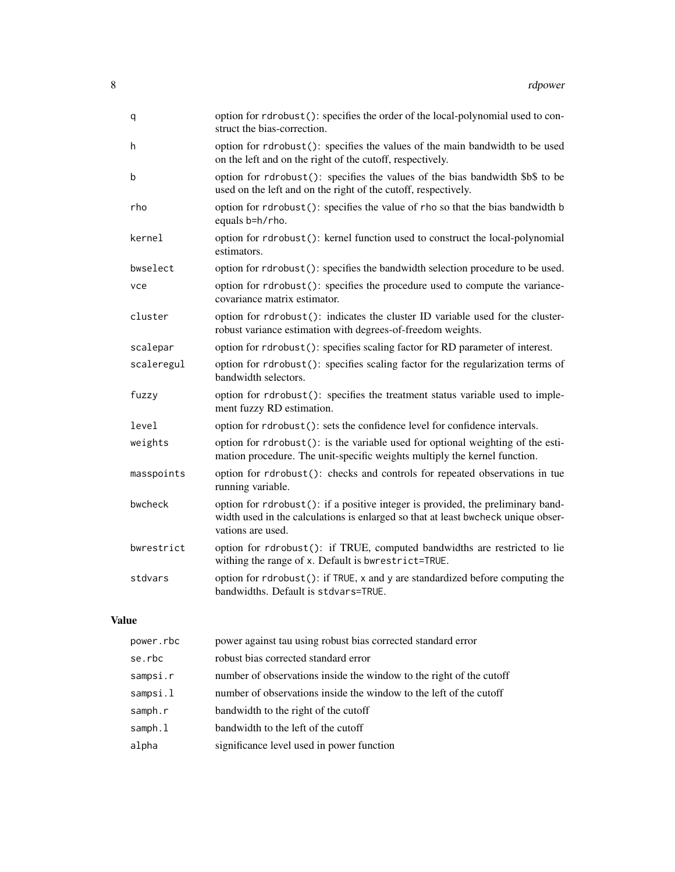| q          | option for rdrobust(): specifies the order of the local-polynomial used to con-<br>struct the bias-correction.                                                                            |
|------------|-------------------------------------------------------------------------------------------------------------------------------------------------------------------------------------------|
| h          | option for rdrobust(): specifies the values of the main bandwidth to be used<br>on the left and on the right of the cutoff, respectively.                                                 |
| b          | option for rdrobust(): specifies the values of the bias bandwidth \$b\$ to be<br>used on the left and on the right of the cutoff, respectively.                                           |
| rho        | option for rdrobust(): specifies the value of rho so that the bias bandwidth b<br>equals b=h/rho.                                                                                         |
| kernel     | option for rdrobust(): kernel function used to construct the local-polynomial<br>estimators.                                                                                              |
| bwselect   | option for rdrobust(): specifies the bandwidth selection procedure to be used.                                                                                                            |
| vce        | option for rdrobust(): specifies the procedure used to compute the variance-<br>covariance matrix estimator.                                                                              |
| cluster    | option for rdrobust(): indicates the cluster ID variable used for the cluster-<br>robust variance estimation with degrees-of-freedom weights.                                             |
| scalepar   | option for rdrobust(): specifies scaling factor for RD parameter of interest.                                                                                                             |
| scaleregul | option for rdrobust(): specifies scaling factor for the regularization terms of<br>bandwidth selectors.                                                                                   |
| fuzzy      | option for rdrobust(): specifies the treatment status variable used to imple-<br>ment fuzzy RD estimation.                                                                                |
| level      | option for rdrobust(): sets the confidence level for confidence intervals.                                                                                                                |
| weights    | option for rdrobust(): is the variable used for optional weighting of the esti-<br>mation procedure. The unit-specific weights multiply the kernel function.                              |
| masspoints | option for rdrobust(): checks and controls for repeated observations in tue<br>running variable.                                                                                          |
| bwcheck    | option for rdrobust(): if a positive integer is provided, the preliminary band-<br>width used in the calculations is enlarged so that at least bwcheck unique obser-<br>vations are used. |
| bwrestrict | option for rdrobust(): if TRUE, computed bandwidths are restricted to lie<br>withing the range of x. Default is bwrestrict=TRUE.                                                          |
| stdvars    | option for rdrobust(): if TRUE, x and y are standardized before computing the<br>bandwidths. Default is stdvars=TRUE.                                                                     |

## Value

| power.rbc | power against tau using robust bias corrected standard error        |
|-----------|---------------------------------------------------------------------|
| se.rbc    | robust bias corrected standard error                                |
| sampsi.r  | number of observations inside the window to the right of the cutoff |
| sampsi.l  | number of observations inside the window to the left of the cutoff  |
| samph.r   | bandwidth to the right of the cutoff                                |
| samph.l   | bandwidth to the left of the cutoff                                 |
| alpha     | significance level used in power function                           |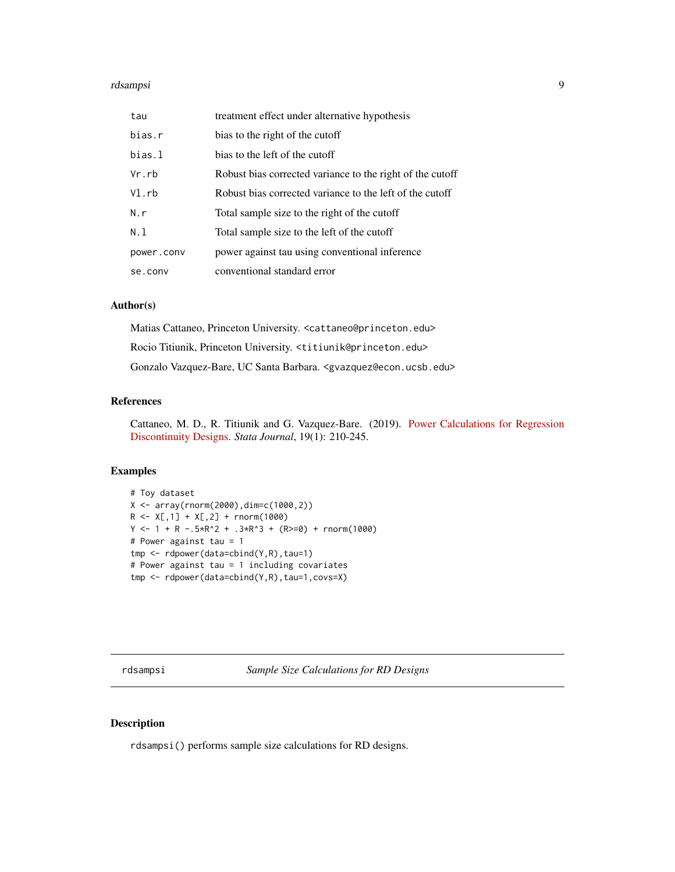<span id="page-8-0"></span>

| tau        | treatment effect under alternative hypothesis             |
|------------|-----------------------------------------------------------|
| bias.r     | bias to the right of the cutoff                           |
| bias.l     | bias to the left of the cutoff                            |
| Vr.rb      | Robust bias corrected variance to the right of the cutoff |
| $VI$ .rb   | Robust bias corrected variance to the left of the cutoff  |
| N.r        | Total sample size to the right of the cutoff              |
| N.1        | Total sample size to the left of the cutoff               |
| power.conv | power against tau using conventional inference            |
| se.conv    | conventional standard error                               |

## Author(s)

Matias Cattaneo, Princeton University. <cattaneo@princeton.edu> Rocio Titiunik, Princeton University. <titiunik@princeton.edu> Gonzalo Vazquez-Bare, UC Santa Barbara. <gvazquez@econ.ucsb.edu>

## References

Cattaneo, M. D., R. Titiunik and G. Vazquez-Bare. (2019). [Power Calculations for Regression](https://rdpackages.github.io/references/Cattaneo-Titiunik-VazquezBare_2019_Stata.pdf) [Discontinuity Designs.](https://rdpackages.github.io/references/Cattaneo-Titiunik-VazquezBare_2019_Stata.pdf) *Stata Journal*, 19(1): 210-245.

## Examples

```
# Toy dataset
X \leftarrow \text{array}(rnorm(2000), \text{dim} = c(1000, 2))R \leq X[, 1] + X[, 2] + \text{rnorm}(1000)Y \le -1 + R - .5 \times R^2 + .3 \times R^3 + (R \ge 0) + \text{norm}(1000)# Power against tau = 1
tmp <- rdpower(data=cbind(Y,R),tau=1)
# Power against tau = 1 including covariates
tmp <- rdpower(data=cbind(Y,R),tau=1,covs=X)
```
<span id="page-8-1"></span>rdsampsi *Sample Size Calculations for RD Designs*

## Description

rdsampsi() performs sample size calculations for RD designs.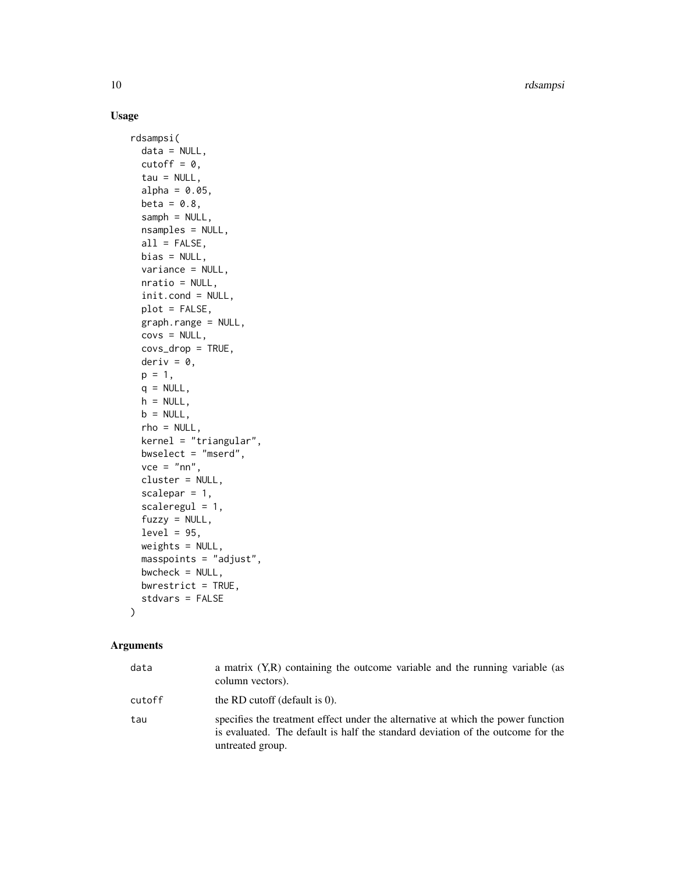## Usage

```
rdsampsi(
  data = NULL,
 cutoff = 0,
 tau = NULL,alpha = 0.05,
 beta = 0.8,
  samph = NULL,nsamples = NULL,
 all = FALSE,bias = NULL,variance = NULL,
 nratio = NULL,
  init.cond = NULL,
 plot = FALSE,
 graph.range = NULL,
 covs = NULL,covs_drop = TRUE,
 deriv = \theta,
 p = 1,
 q = NULL,h = NULL,b = NULL,rho = NULL,kernel = "triangular",
 bwselect = "mserd",
 vec = "nn",cluster = NULL,
  scalepar = 1,
  scaleregul = 1,
  fuzzy = NULL,level = 95,weights = NULL,
 masspoints = "adjust",
 bwcheck = NULL,
 bwrestrict = TRUE,
  stdvars = FALSE
```
## Arguments

)

| data   | a matrix (Y,R) containing the outcome variable and the running variable (as<br>column vectors).                                                                                         |
|--------|-----------------------------------------------------------------------------------------------------------------------------------------------------------------------------------------|
| cutoff | the RD cutoff (default is $0$ ).                                                                                                                                                        |
| tau    | specifies the treatment effect under the alternative at which the power function<br>is evaluated. The default is half the standard deviation of the outcome for the<br>untreated group. |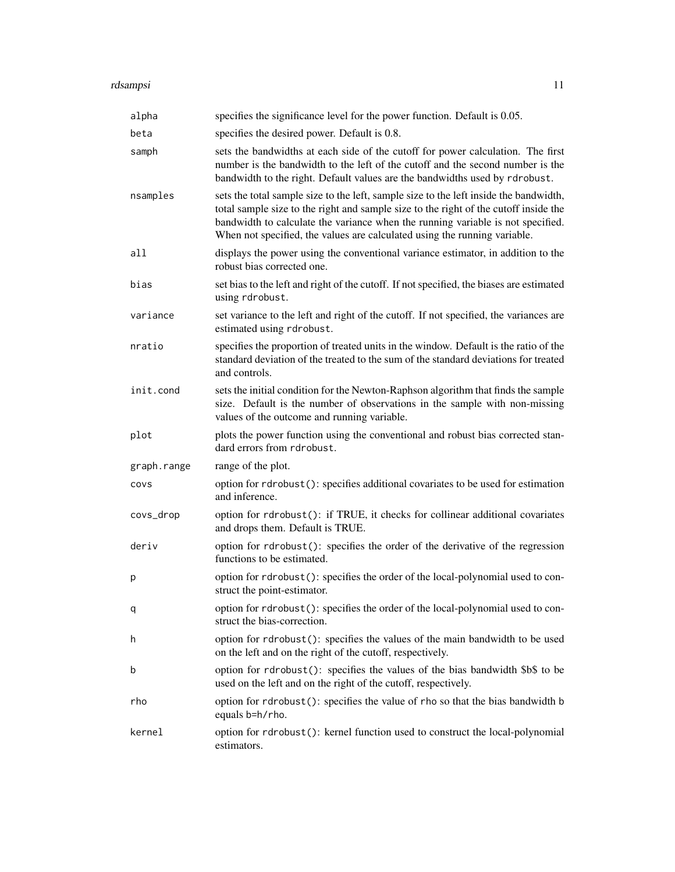| alpha       | specifies the significance level for the power function. Default is 0.05.                                                                                                                                                                                                                                                                     |
|-------------|-----------------------------------------------------------------------------------------------------------------------------------------------------------------------------------------------------------------------------------------------------------------------------------------------------------------------------------------------|
| beta        | specifies the desired power. Default is 0.8.                                                                                                                                                                                                                                                                                                  |
| samph       | sets the bandwidths at each side of the cutoff for power calculation. The first<br>number is the bandwidth to the left of the cutoff and the second number is the<br>bandwidth to the right. Default values are the bandwidths used by rdrobust.                                                                                              |
| nsamples    | sets the total sample size to the left, sample size to the left inside the bandwidth,<br>total sample size to the right and sample size to the right of the cutoff inside the<br>bandwidth to calculate the variance when the running variable is not specified.<br>When not specified, the values are calculated using the running variable. |
| all         | displays the power using the conventional variance estimator, in addition to the<br>robust bias corrected one.                                                                                                                                                                                                                                |
| bias        | set bias to the left and right of the cutoff. If not specified, the biases are estimated<br>using rdrobust.                                                                                                                                                                                                                                   |
| variance    | set variance to the left and right of the cutoff. If not specified, the variances are<br>estimated using rdrobust.                                                                                                                                                                                                                            |
| nratio      | specifies the proportion of treated units in the window. Default is the ratio of the<br>standard deviation of the treated to the sum of the standard deviations for treated<br>and controls.                                                                                                                                                  |
| init.cond   | sets the initial condition for the Newton-Raphson algorithm that finds the sample<br>size. Default is the number of observations in the sample with non-missing<br>values of the outcome and running variable.                                                                                                                                |
| plot        | plots the power function using the conventional and robust bias corrected stan-<br>dard errors from rdrobust.                                                                                                                                                                                                                                 |
| graph.range | range of the plot.                                                                                                                                                                                                                                                                                                                            |
| COVS        | option for rdrobust(): specifies additional covariates to be used for estimation<br>and inference.                                                                                                                                                                                                                                            |
| covs_drop   | option for rdrobust(): if TRUE, it checks for collinear additional covariates<br>and drops them. Default is TRUE.                                                                                                                                                                                                                             |
| deriv       | option for rdrobust(): specifies the order of the derivative of the regression<br>functions to be estimated.                                                                                                                                                                                                                                  |
| р           | option for rdrobust(): specifies the order of the local-polynomial used to con-<br>struct the point-estimator.                                                                                                                                                                                                                                |
| q           | option for rdrobust(): specifies the order of the local-polynomial used to con-<br>struct the bias-correction.                                                                                                                                                                                                                                |
| h           | option for rdrobust(): specifies the values of the main bandwidth to be used<br>on the left and on the right of the cutoff, respectively.                                                                                                                                                                                                     |
| b           | option for rdrobust(): specifies the values of the bias bandwidth \$b\$ to be<br>used on the left and on the right of the cutoff, respectively.                                                                                                                                                                                               |
| rho         | option for rdrobust(): specifies the value of rho so that the bias bandwidth b<br>equals b=h/rho.                                                                                                                                                                                                                                             |
| kernel      | option for rdrobust(): kernel function used to construct the local-polynomial<br>estimators.                                                                                                                                                                                                                                                  |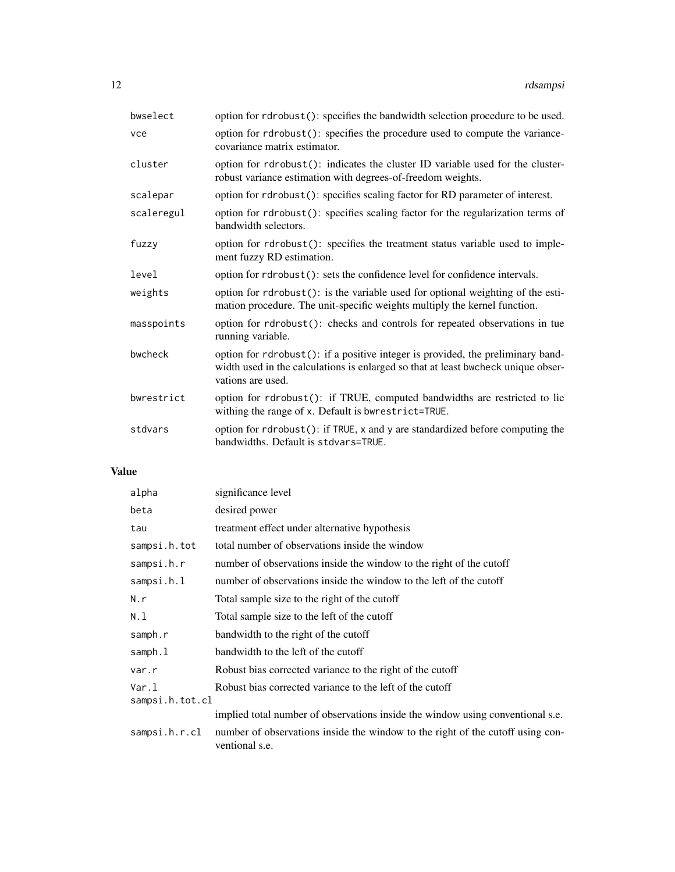| bwselect   | option for rdrobust(): specifies the bandwidth selection procedure to be used.                                                                                                            |
|------------|-------------------------------------------------------------------------------------------------------------------------------------------------------------------------------------------|
| vce        | option for rdrobust(): specifies the procedure used to compute the variance-<br>covariance matrix estimator.                                                                              |
| cluster    | option for rdrobust(): indicates the cluster ID variable used for the cluster-<br>robust variance estimation with degrees-of-freedom weights.                                             |
| scalepar   | option for rdrobust(): specifies scaling factor for RD parameter of interest.                                                                                                             |
| scaleregul | option for rdrobust(): specifies scaling factor for the regularization terms of<br>bandwidth selectors.                                                                                   |
| fuzzy      | option for rdrobust(): specifies the treatment status variable used to imple-<br>ment fuzzy RD estimation.                                                                                |
| level      | option for rdrobust(): sets the confidence level for confidence intervals.                                                                                                                |
| weights    | option for rdrobust(): is the variable used for optional weighting of the esti-<br>mation procedure. The unit-specific weights multiply the kernel function.                              |
| masspoints | option for rdrobust(): checks and controls for repeated observations in tue<br>running variable.                                                                                          |
| bwcheck    | option for rdrobust(): if a positive integer is provided, the preliminary band-<br>width used in the calculations is enlarged so that at least bwcheck unique obser-<br>vations are used. |
| bwrestrict | option for rdrobust(): if TRUE, computed bandwidths are restricted to lie<br>withing the range of x. Default is bwrestrict=TRUE.                                                          |
| stdvars    | option for rdrobust(): if TRUE, x and y are standardized before computing the<br>bandwidths. Default is stdvars=TRUE.                                                                     |

## Value

| alpha           | significance level                                                                               |
|-----------------|--------------------------------------------------------------------------------------------------|
| beta            | desired power                                                                                    |
| tau             | treatment effect under alternative hypothesis                                                    |
| sampsi.h.tot    | total number of observations inside the window                                                   |
| sampsi.h.r      | number of observations inside the window to the right of the cutoff                              |
| sampsi.h.l      | number of observations inside the window to the left of the cutoff                               |
| N.r             | Total sample size to the right of the cutoff                                                     |
| N.1             | Total sample size to the left of the cutoff                                                      |
| samph.r         | bandwidth to the right of the cutoff                                                             |
| samph.1         | bandwidth to the left of the cutoff                                                              |
| var.r           | Robust bias corrected variance to the right of the cutoff                                        |
| Var.1           | Robust bias corrected variance to the left of the cutoff                                         |
| sampsi.h.tot.cl |                                                                                                  |
|                 | implied total number of observations inside the window using conventional s.e.                   |
| sampsi.h.r.cl   | number of observations inside the window to the right of the cutoff using con-<br>ventional s.e. |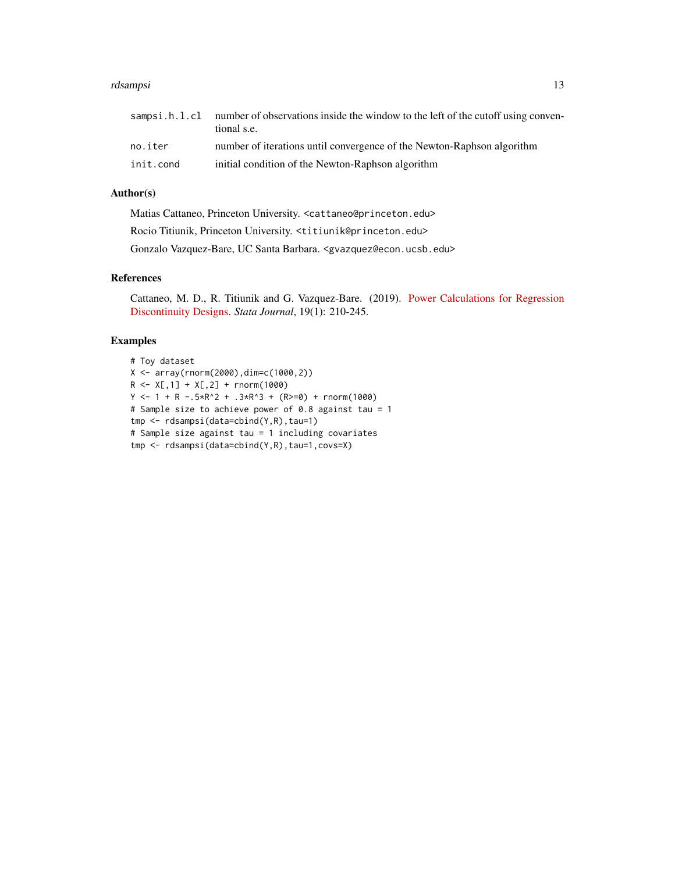|           | sampsi.h.l.cl number of observations inside the window to the left of the cutoff using conven-<br>tional s.e. |
|-----------|---------------------------------------------------------------------------------------------------------------|
| no.iter   | number of iterations until convergence of the Newton-Raphson algorithm                                        |
| init.cond | initial condition of the Newton-Raphson algorithm                                                             |

## Author(s)

Matias Cattaneo, Princeton University. <cattaneo@princeton.edu> Rocio Titiunik, Princeton University. <titiunik@princeton.edu> Gonzalo Vazquez-Bare, UC Santa Barbara. <gvazquez@econ.ucsb.edu>

## References

Cattaneo, M. D., R. Titiunik and G. Vazquez-Bare. (2019). [Power Calculations for Regression](https://rdpackages.github.io/references/Cattaneo-Titiunik-VazquezBare_2019_Stata.pdf) [Discontinuity Designs.](https://rdpackages.github.io/references/Cattaneo-Titiunik-VazquezBare_2019_Stata.pdf) *Stata Journal*, 19(1): 210-245.

## Examples

```
# Toy dataset
X <- array(rnorm(2000),dim=c(1000,2))
R \leq X[, 1] + X[, 2] + rnorm(1000)Y \le -1 + R - .5 \times R^2 + .3 \times R^3 + (R \ge 0) + \text{norm}(1000)# Sample size to achieve power of 0.8 against tau = 1
tmp <- rdsampsi(data=cbind(Y,R),tau=1)
# Sample size against tau = 1 including covariates
tmp <- rdsampsi(data=cbind(Y,R),tau=1,covs=X)
```